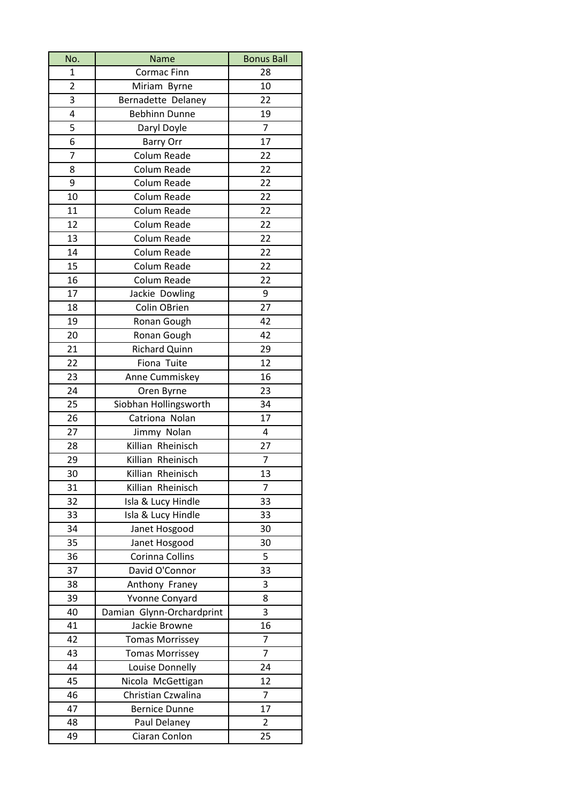| No.            | Name                      | <b>Bonus Ball</b> |
|----------------|---------------------------|-------------------|
| 1              | <b>Cormac Finn</b>        | 28                |
| $\overline{2}$ | Miriam Byrne              | 10                |
| 3              | Bernadette Delaney        | 22                |
| 4              | <b>Bebhinn Dunne</b>      | 19                |
| 5              | Daryl Doyle               | $\overline{7}$    |
| 6              | <b>Barry Orr</b>          | 17                |
| 7              | Colum Reade               | 22                |
| 8              | Colum Reade               | 22                |
| 9              | Colum Reade               | 22                |
| 10             | Colum Reade               | 22                |
| 11             | Colum Reade               | 22                |
| 12             | Colum Reade               | 22                |
| 13             | Colum Reade               | 22                |
| 14             | Colum Reade               | 22                |
| 15             | Colum Reade               | 22                |
| 16             | Colum Reade               | 22                |
| 17             | Jackie Dowling            | 9                 |
| 18             | Colin OBrien              | 27                |
| 19             | Ronan Gough               | 42                |
| 20             | Ronan Gough               | 42                |
| 21             | <b>Richard Quinn</b>      | 29                |
| 22             | Fiona Tuite               | 12                |
| 23             | Anne Cummiskey            | 16                |
| 24             | Oren Byrne                | 23                |
| 25             | Siobhan Hollingsworth     | 34                |
| 26             | Catriona Nolan            | 17                |
| 27             | Jimmy Nolan               | 4                 |
| 28             | Killian Rheinisch         | 27                |
| 29             | Killian Rheinisch         | $\overline{7}$    |
| 30             | Killian Rheinisch         | 13                |
| 31             | Killian Rheinisch         | $\overline{7}$    |
| 32             | Isla & Lucy Hindle        | 33                |
| 33             | Isla & Lucy Hindle        | 33                |
| 34             | Janet Hosgood             | 30                |
| 35             | Janet Hosgood             | 30                |
| 36             | Corinna Collins           | 5                 |
| 37             | David O'Connor            | 33                |
| 38             | Anthony Franey            | 3                 |
| 39             | Yvonne Conyard            | 8                 |
| 40             | Damian Glynn-Orchardprint | 3                 |
| 41             | Jackie Browne             | 16                |
| 42             | <b>Tomas Morrissey</b>    | 7                 |
| 43             | <b>Tomas Morrissey</b>    | $\overline{7}$    |
| 44             | Louise Donnelly           | 24                |
| 45             | Nicola McGettigan         | 12                |
| 46             | Christian Czwalina        | 7                 |
| 47             | <b>Bernice Dunne</b>      | 17                |
| 48             | Paul Delaney              | $\overline{2}$    |
| 49             | Ciaran Conlon             | 25                |